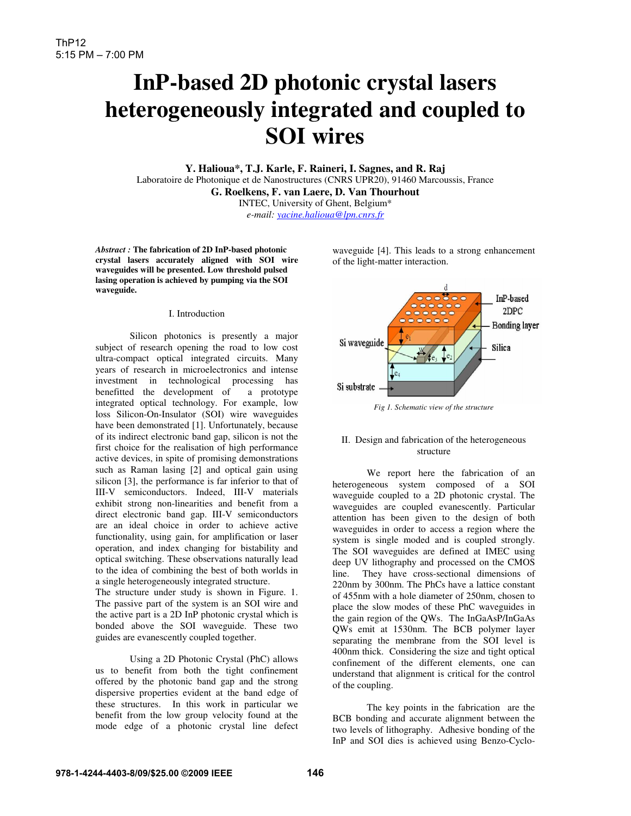# **InP-based 2D photonic crystal lasers heterogeneously integrated and coupled to SOI wires**

**Y. Halioua\*, T.J. Karle, F. Raineri, I. Sagnes, and R. Raj**  Laboratoire de Photonique et de Nanostructures (CNRS UPR20), 91460 Marcoussis, France **G. Roelkens, F. van Laere, D. Van Thourhout**  INTEC, University of Ghent, Belgium\*

*e-mail: yacine.halioua@lpn.cnrs.fr*

*Abstract :* **The fabrication of 2D InP-based photonic crystal lasers accurately aligned with SOI wire waveguides will be presented. Low threshold pulsed lasing operation is achieved by pumping via the SOI waveguide.** 

### I. Introduction

 Silicon photonics is presently a major subject of research opening the road to low cost ultra-compact optical integrated circuits. Many years of research in microelectronics and intense investment in technological processing has benefitted the development of a prototype integrated optical technology. For example, low loss Silicon-On-Insulator (SOI) wire waveguides have been demonstrated [1]. Unfortunately, because of its indirect electronic band gap, silicon is not the first choice for the realisation of high performance active devices, in spite of promising demonstrations such as Raman lasing [2] and optical gain using silicon [3], the performance is far inferior to that of III-V semiconductors. Indeed, III-V materials exhibit strong non-linearities and benefit from a direct electronic band gap. III-V semiconductors are an ideal choice in order to achieve active functionality, using gain, for amplification or laser operation, and index changing for bistability and optical switching. These observations naturally lead to the idea of combining the best of both worlds in a single heterogeneously integrated structure.

The structure under study is shown in Figure. 1. The passive part of the system is an SOI wire and the active part is a 2D InP photonic crystal which is bonded above the SOI waveguide. These two guides are evanescently coupled together.

 Using a 2D Photonic Crystal (PhC) allows us to benefit from both the tight confinement offered by the photonic band gap and the strong dispersive properties evident at the band edge of these structures. In this work in particular we benefit from the low group velocity found at the mode edge of a photonic crystal line defect waveguide [4]. This leads to a strong enhancement of the light-matter interaction.



#### *Fig 1. Schematic view of the structure*

# II. Design and fabrication of the heterogeneous structure

We report here the fabrication of an heterogeneous system composed of a SOI waveguide coupled to a 2D photonic crystal. The waveguides are coupled evanescently. Particular attention has been given to the design of both waveguides in order to access a region where the system is single moded and is coupled strongly. The SOI waveguides are defined at IMEC using deep UV lithography and processed on the CMOS line. They have cross-sectional dimensions of 220nm by 300nm. The PhCs have a lattice constant of 455nm with a hole diameter of 250nm, chosen to place the slow modes of these PhC waveguides in the gain region of the QWs. The InGaAsP/InGaAs QWs emit at 1530nm. The BCB polymer layer separating the membrane from the SOI level is 400nm thick. Considering the size and tight optical confinement of the different elements, one can understand that alignment is critical for the control of the coupling.

The key points in the fabrication are the BCB bonding and accurate alignment between the two levels of lithography. Adhesive bonding of the InP and SOI dies is achieved using Benzo-Cyclo-